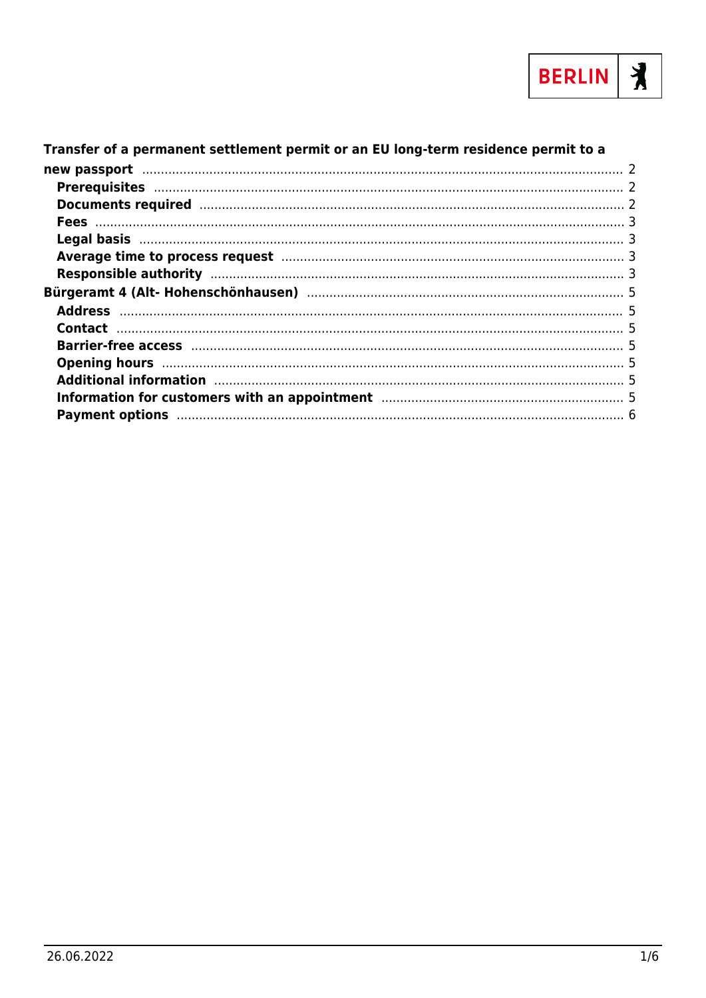

#### Transfer of a permanent settlement permit or an EU long-term residence permit to a Average time to process request manufacture and the contract of 3 Additional information manufacture and the state of the state of the state of the state of the state of the st Information for customers with an appointment manufactured and support of the system of the system of the system of the system of the system of the system of the system of the system of the system of the system of the syst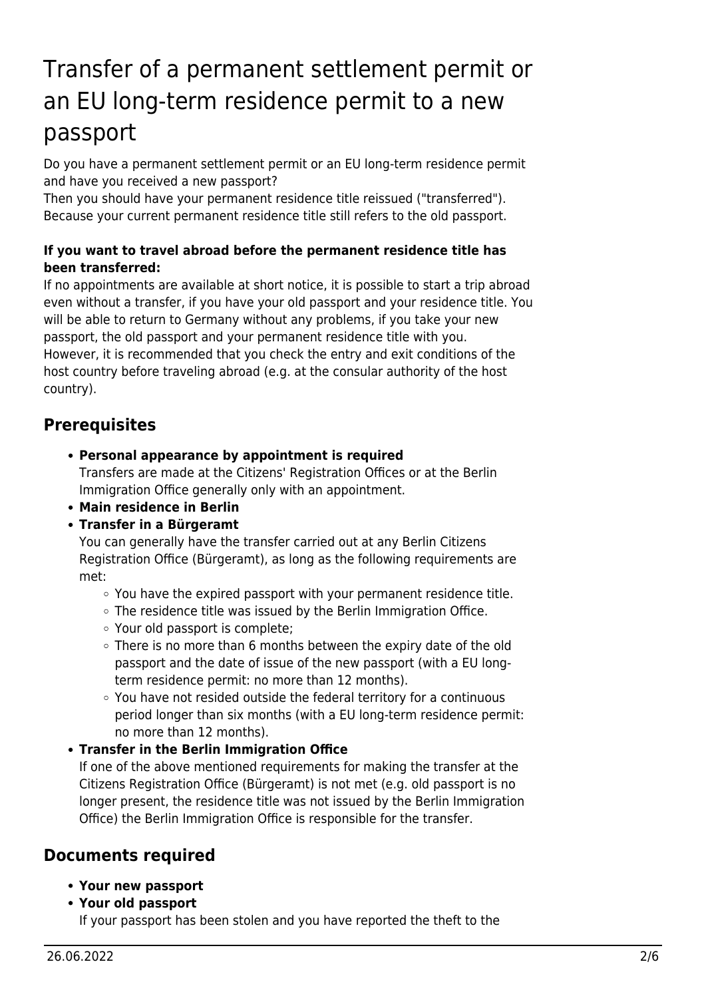# <span id="page-1-0"></span>Transfer of a permanent settlement permit or an EU long-term residence permit to a new passport

Do you have a permanent settlement permit or an EU long-term residence permit and have you received a new passport?

Then you should have your permanent residence title reissued ("transferred"). Because your current permanent residence title still refers to the old passport.

#### **If you want to travel abroad before the permanent residence title has been transferred:**

If no appointments are available at short notice, it is possible to start a trip abroad even without a transfer, if you have your old passport and your residence title. You will be able to return to Germany without any problems, if you take your new passport, the old passport and your permanent residence title with you. However, it is recommended that you check the entry and exit conditions of the host country before traveling abroad (e.g. at the consular authority of the host country).

#### <span id="page-1-1"></span>**Prerequisites**

- **Personal appearance by appointment is required** Transfers are made at the Citizens' Registration Offices or at the Berlin Immigration Office generally only with an appointment.
- **Main residence in Berlin**
- **Transfer in a Bürgeramt**

You can generally have the transfer carried out at any Berlin Citizens Registration Office (Bürgeramt), as long as the following requirements are met:

- $\circ$  You have the expired passport with your permanent residence title.
- $\circ$  The residence title was issued by the Berlin Immigration Office.
- Your old passport is complete;
- There is no more than 6 months between the expiry date of the old passport and the date of issue of the new passport (with a EU longterm residence permit: no more than 12 months).
- You have not resided outside the federal territory for a continuous period longer than six months (with a EU long-term residence permit: no more than 12 months).
- **Transfer in the Berlin Immigration Office**

If one of the above mentioned requirements for making the transfer at the Citizens Registration Office (Bürgeramt) is not met (e.g. old passport is no longer present, the residence title was not issued by the Berlin Immigration Office) the Berlin Immigration Office is responsible for the transfer.

#### <span id="page-1-2"></span>**Documents required**

- **Your new passport**
- **Your old passport**

If your passport has been stolen and you have reported the theft to the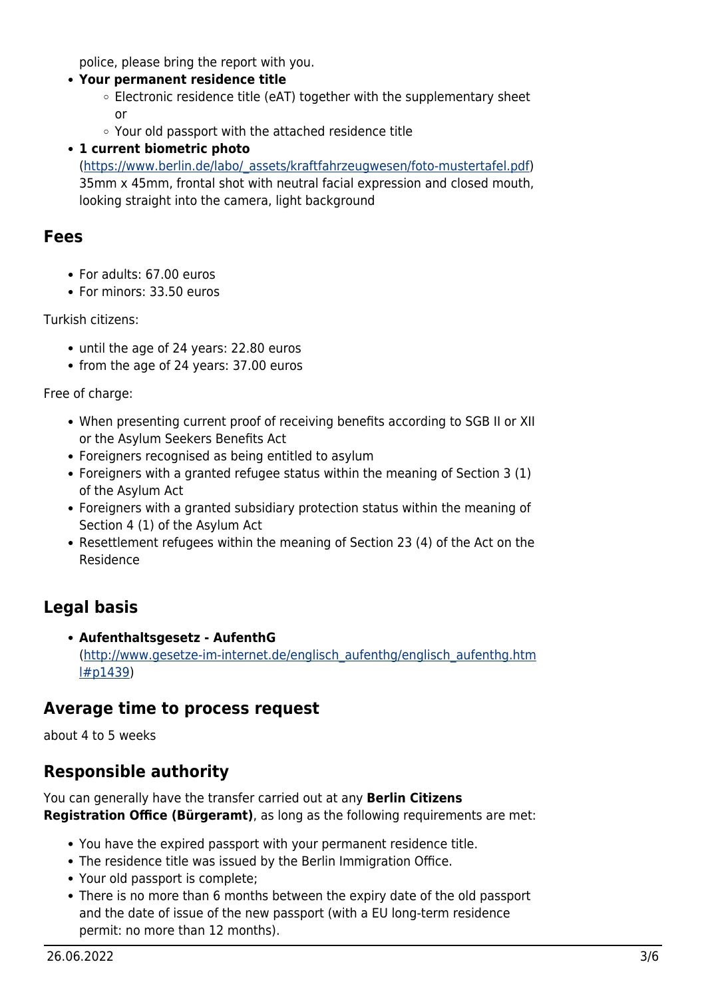police, please bring the report with you.

#### **Your permanent residence title**

- $\circ$  Electronic residence title (eAT) together with the supplementary sheet or
- Your old passport with the attached residence title
- **1 current biometric photo**

([https://www.berlin.de/labo/\\_assets/kraftfahrzeugwesen/foto-mustertafel.pdf\)](https://www.berlin.de/labo/_assets/kraftfahrzeugwesen/foto-mustertafel.pdf) 35mm x 45mm, frontal shot with neutral facial expression and closed mouth, looking straight into the camera, light background

#### <span id="page-2-0"></span>**Fees**

- For adults: 67.00 euros
- For minors: 33.50 euros

Turkish citizens:

- until the age of 24 years: 22.80 euros
- from the age of 24 years: 37.00 euros

Free of charge:

- When presenting current proof of receiving benefits according to SGB II or XII or the Asylum Seekers Benefits Act
- Foreigners recognised as being entitled to asylum
- Foreigners with a granted refugee status within the meaning of Section 3 (1) of the Asylum Act
- Foreigners with a granted subsidiary protection status within the meaning of Section 4 (1) of the Asylum Act
- Resettlement refugees within the meaning of Section 23 (4) of the Act on the Residence

## <span id="page-2-1"></span>**Legal basis**

**Aufenthaltsgesetz - AufenthG** ([http://www.gesetze-im-internet.de/englisch\\_aufenthg/englisch\\_aufenthg.htm](http://www.gesetze-im-internet.de/englisch_aufenthg/englisch_aufenthg.html#p1439) [l#p1439](http://www.gesetze-im-internet.de/englisch_aufenthg/englisch_aufenthg.html#p1439))

#### <span id="page-2-2"></span>**Average time to process request**

about 4 to 5 weeks

#### <span id="page-2-3"></span>**Responsible authority**

You can generally have the transfer carried out at any **Berlin Citizens Registration Office (Bürgeramt)**, as long as the following requirements are met:

- You have the expired passport with your permanent residence title.
- The residence title was issued by the Berlin Immigration Office.
- Your old passport is complete;
- There is no more than 6 months between the expiry date of the old passport and the date of issue of the new passport (with a EU long-term residence permit: no more than 12 months).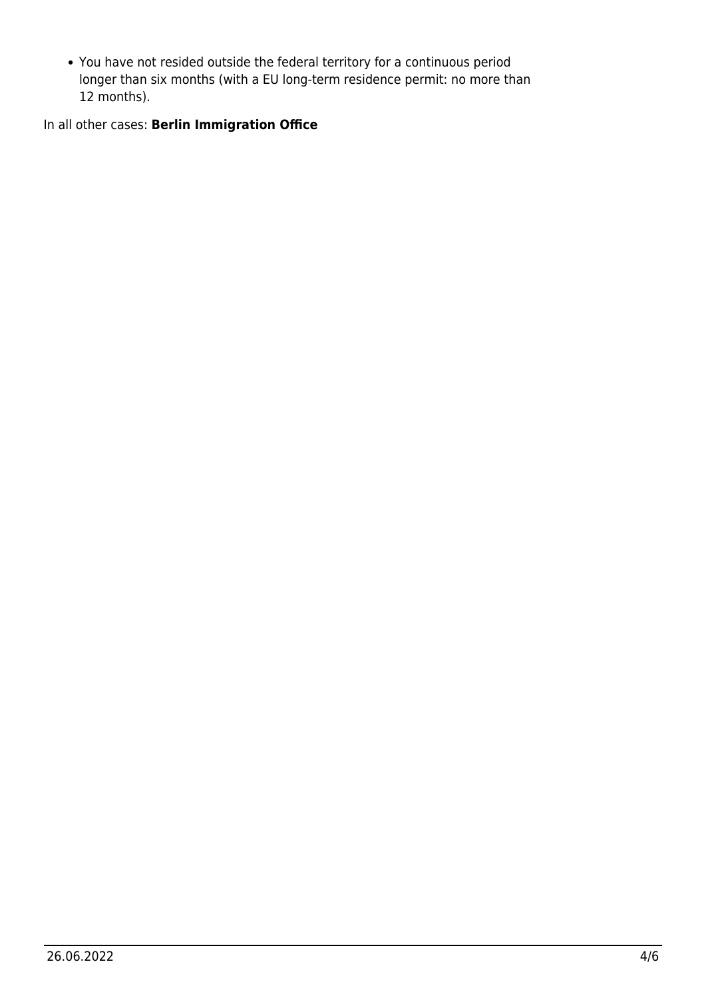You have not resided outside the federal territory for a continuous period longer than six months (with a EU long-term residence permit: no more than 12 months).

In all other cases: **Berlin Immigration Office**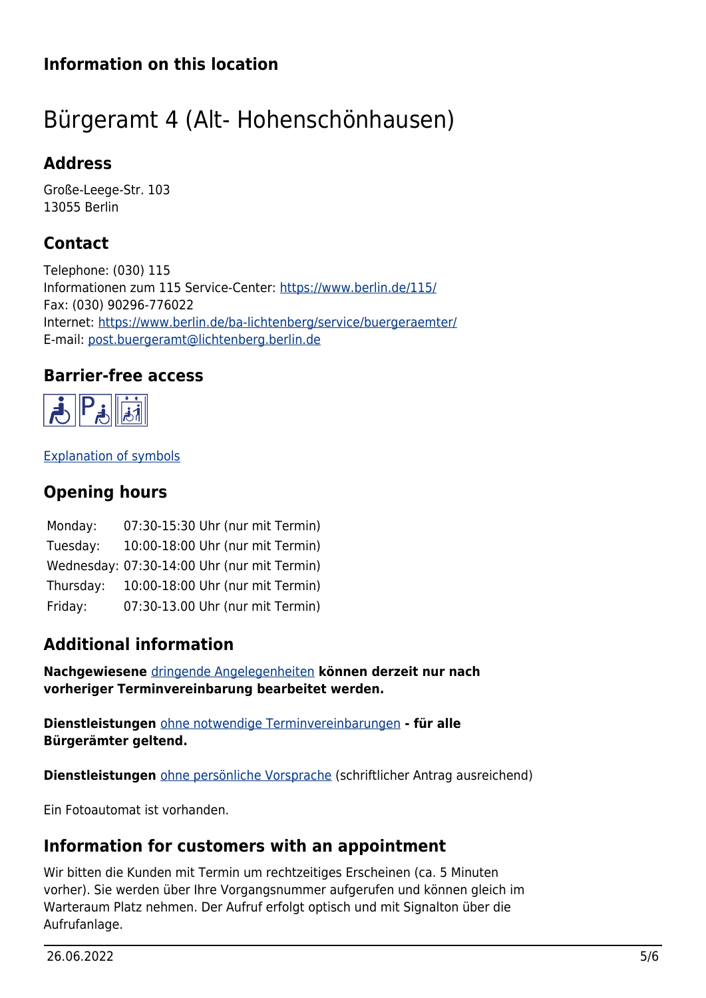## **Information on this location**

# <span id="page-4-0"></span>Bürgeramt 4 (Alt- Hohenschönhausen)

#### <span id="page-4-1"></span>**Address**

Große-Leege-Str. 103 13055 Berlin

## <span id="page-4-2"></span>**Contact**

Telephone: (030) 115 Informationen zum 115 Service-Center:<https://www.berlin.de/115/> Fax: (030) 90296-776022 Internet: <https://www.berlin.de/ba-lichtenberg/service/buergeraemter/> E-mail: [post.buergeramt@lichtenberg.berlin.de](mailto:post.buergeramt@lichtenberg.berlin.de)

#### **Barrier-free access**

<span id="page-4-3"></span>

[Explanation of symbols](https://service.berlin.de/hinweise/artikel.2699.php)

## <span id="page-4-4"></span>**Opening hours**

| Monday:   | 07:30-15:30 Uhr (nur mit Termin)            |
|-----------|---------------------------------------------|
| Tuesday:  | 10:00-18:00 Uhr (nur mit Termin)            |
|           | Wednesday: 07:30-14:00 Uhr (nur mit Termin) |
| Thursday: | 10:00-18:00 Uhr (nur mit Termin)            |
| Friday:   | 07:30-13.00 Uhr (nur mit Termin)            |

## <span id="page-4-5"></span>**Additional information**

**Nachgewiesene** [dringende Angelegenheiten](https://www.berlin.de/ba-lichtenberg/service/buergeraemter/artikel.321076.php#notfall) **können derzeit nur nach vorheriger Terminvereinbarung bearbeitet werden.**

**Dienstleistungen** [ohne notwendige Terminvereinbarungen](https://www.berlin.de/ba-lichtenberg/service/buergeraemter/artikel.321076.php#ohnetermin) **- für alle Bürgerämter geltend.**

**Dienstleistungen** [ohne persönliche Vorsprache](https://www.berlin.de/ba-lichtenberg/service/buergeraemter/artikel.321076.php#ohnevorsprache) (schriftlicher Antrag ausreichend)

Ein Fotoautomat ist vorhanden.

#### <span id="page-4-6"></span>**Information for customers with an appointment**

Wir bitten die Kunden mit Termin um rechtzeitiges Erscheinen (ca. 5 Minuten vorher). Sie werden über Ihre Vorgangsnummer aufgerufen und können gleich im Warteraum Platz nehmen. Der Aufruf erfolgt optisch und mit Signalton über die Aufrufanlage.